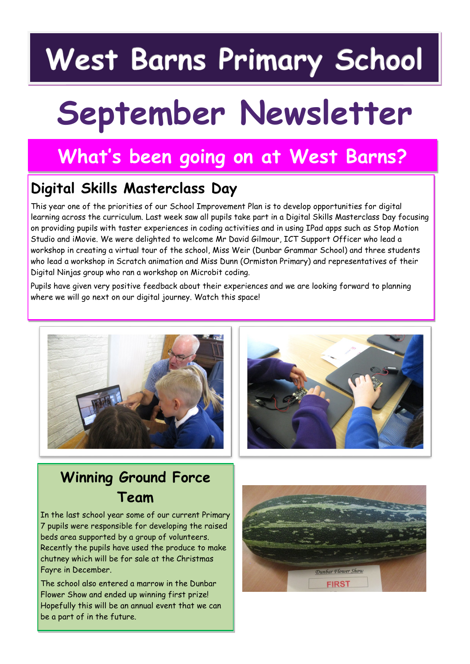# **West Barns Primary School**

# **September Newsletter**

# **What's been going on at West Barns?**

## **Digital Skills Masterclass Day**

This year one of the priorities of our School Improvement Plan is to develop opportunities for digital learning across the curriculum. Last week saw all pupils take part in a Digital Skills Masterclass Day focusing on providing pupils with taster experiences in coding activities and in using IPad apps such as Stop Motion Studio and iMovie. We were delighted to welcome Mr David Gilmour, ICT Support Officer who lead a workshop in creating a virtual tour of the school, Miss Weir (Dunbar Grammar School) and three students who lead a workshop in Scratch animation and Miss Dunn (Ormiston Primary) and representatives of their Digital Ninjas group who ran a workshop on Microbit coding.

Pupils have given very positive feedback about their experiences and we are looking forward to planning where we will go next on our digital journey. Watch this space!





# **Winning Ground Force Team**

In the last school year some of our current Primary 7 pupils were responsible for developing the raised beds area supported by a group of volunteers. Recently the pupils have used the produce to make chutney which will be for sale at the Christmas Fayre in December.

The school also entered a marrow in the Dunbar Flower Show and ended up winning first prize! Hopefully this will be an annual event that we can be a part of in the future.